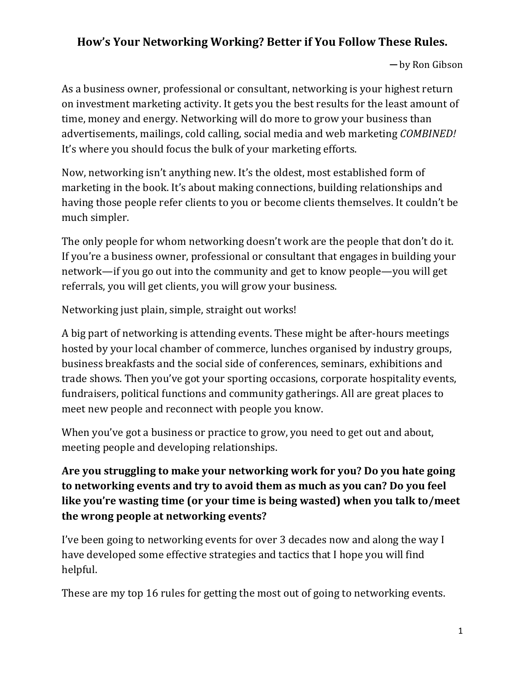### **How's Your Networking Working? Better if You Follow These Rules.**

─ by Ron Gibson

As a business owner, professional or consultant, networking is your highest return on investment marketing activity. It gets you the best results for the least amount of time, money and energy. Networking will do more to grow your business than advertisements, mailings, cold calling, social media and web marketing *COMBINED!* It's where you should focus the bulk of your marketing efforts.

Now, networking isn't anything new. It's the oldest, most established form of marketing in the book. It's about making connections, building relationships and having those people refer clients to you or become clients themselves. It couldn't be much simpler.

The only people for whom networking doesn't work are the people that don't do it. If you're a business owner, professional or consultant that engages in building your network—if you go out into the community and get to know people—you will get referrals, you will get clients, you will grow your business.

Networking just plain, simple, straight out works!

A big part of networking is attending events. These might be after-hours meetings hosted by your local chamber of commerce, lunches organised by industry groups, business breakfasts and the social side of conferences, seminars, exhibitions and trade shows. Then you've got your sporting occasions, corporate hospitality events, fundraisers, political functions and community gatherings. All are great places to meet new people and reconnect with people you know.

When you've got a business or practice to grow, you need to get out and about, meeting people and developing relationships.

### **Are you struggling to make your networking work for you? Do you hate going to networking events and try to avoid them as much as you can? Do you feel like you're wasting time (or your time is being wasted) when you talk to/meet the wrong people at networking events?**

I've been going to networking events for over 3 decades now and along the way I have developed some effective strategies and tactics that I hope you will find helpful.

These are my top 16 rules for getting the most out of going to networking events.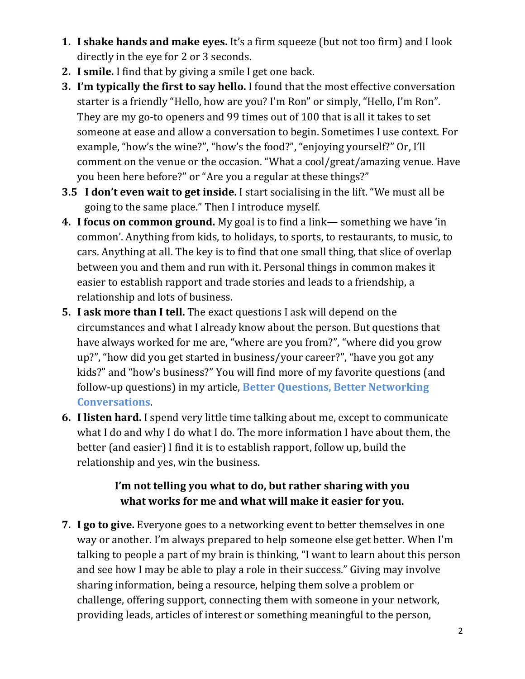- **1. I shake hands and make eyes.** It's a firm squeeze (but not too firm) and I look directly in the eye for 2 or 3 seconds.
- **2. I smile.** I find that by giving a smile I get one back.
- **3. I'm typically the first to say hello.** I found that the most effective conversation starter is a friendly "Hello, how are you? I'm Ron" or simply, "Hello, I'm Ron". They are my go-to openers and 99 times out of 100 that is all it takes to set someone at ease and allow a conversation to begin. Sometimes I use context. For example, "how's the wine?", "how's the food?", "enjoying yourself?" Or, I'll comment on the venue or the occasion. "What a cool/great/amazing venue. Have you been here before?" or "Are you a regular at these things?"
- **3.5 I don't even wait to get inside.** I start socialising in the lift. "We must all be going to the same place." Then I introduce myself.
- **4. I focus on common ground.** My goal is to find a link— something we have 'in common'. Anything from kids, to holidays, to sports, to restaurants, to music, to cars. Anything at all. The key is to find that one small thing, that slice of overlap between you and them and run with it. Personal things in common makes it easier to establish rapport and trade stories and leads to a friendship, a relationship and lots of business.
- **5. I ask more than I tell.** The exact questions I ask will depend on the circumstances and what I already know about the person. But questions that have always worked for me are, "where are you from?", "where did you grow up?", "how did you get started in business/your career?", "have you got any kids?" and "how's business?" You will find more of my favorite questions (and follow-up questions) in my article, **Better Questions, Better Networking Conversations**.
- **6. I listen hard.** I spend very little time talking about me, except to communicate what I do and why I do what I do. The more information I have about them, the better (and easier) I find it is to establish rapport, follow up, build the relationship and yes, win the business.

#### **I'm not telling you what to do, but rather sharing with you what works for me and what will make it easier for you.**

**7. I go to give.** Everyone goes to a networking event to better themselves in one way or another. I'm always prepared to help someone else get better. When I'm talking to people a part of my brain is thinking, "I want to learn about this person and see how I may be able to play a role in their success." Giving may involve sharing information, being a resource, helping them solve a problem or challenge, offering support, connecting them with someone in your network, providing leads, articles of interest or something meaningful to the person,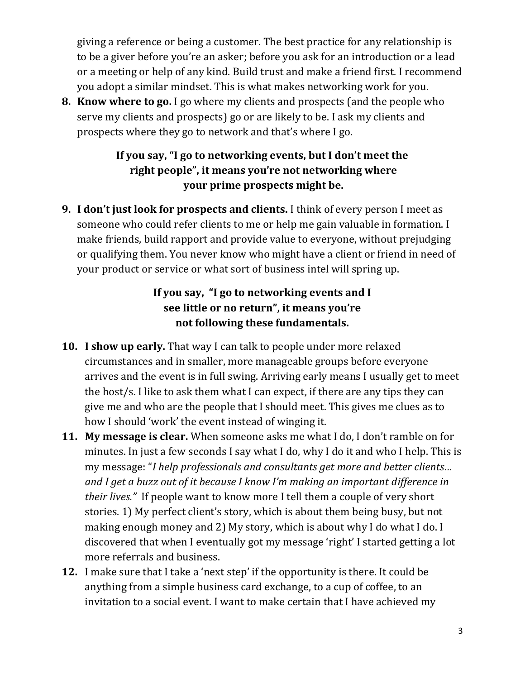giving a reference or being a customer. The best practice for any relationship is to be a giver before you're an asker; before you ask for an introduction or a lead or a meeting or help of any kind. Build trust and make a friend first. I recommend you adopt a similar mindset. This is what makes networking work for you.

**8. Know where to go.** I go where my clients and prospects (and the people who serve my clients and prospects) go or are likely to be. I ask my clients and prospects where they go to network and that's where I go.

# **If you say, "I go to networking events, but I don't meet the right people", it means you're not networking where your prime prospects might be.**

**9. I don't just look for prospects and clients.** I think of every person I meet as someone who could refer clients to me or help me gain valuable in formation. I make friends, build rapport and provide value to everyone, without prejudging or qualifying them. You never know who might have a client or friend in need of your product or service or what sort of business intel will spring up.

# **If you say, "I go to networking events and I see little or no return", it means you're not following these fundamentals.**

- **10. I show up early.** That way I can talk to people under more relaxed circumstances and in smaller, more manageable groups before everyone arrives and the event is in full swing. Arriving early means I usually get to meet the host/s. I like to ask them what I can expect, if there are any tips they can give me and who are the people that I should meet. This gives me clues as to how I should 'work' the event instead of winging it.
- **11. My message is clear.** When someone asks me what I do, I don't ramble on for minutes. In just a few seconds I say what I do, why I do it and who I help. This is my message: "*I help professionals and consultants get more and better clients… and I get a buzz out of it because I know I'm making an important difference in their lives."* If people want to know more I tell them a couple of very short stories. 1) My perfect client's story, which is about them being busy, but not making enough money and 2) My story, which is about why I do what I do. I discovered that when I eventually got my message 'right' I started getting a lot more referrals and business.
- **12.** I make sure that I take a 'next step' if the opportunity is there. It could be anything from a simple business card exchange, to a cup of coffee, to an invitation to a social event. I want to make certain that I have achieved my